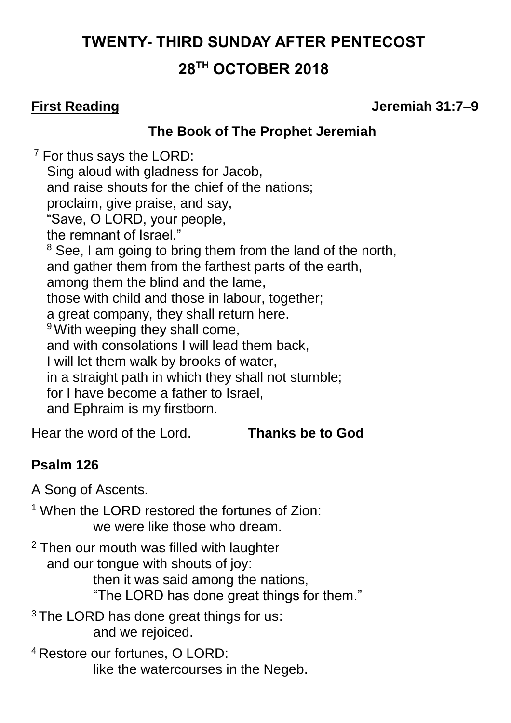# **TWENTY- THIRD SUNDAY AFTER PENTECOST 28 TH OCTOBER 2018**

**First Reading Jeremiah 31:7–9**

### **The Book of The Prophet Jeremiah**

 $<sup>7</sup>$  For thus says the LORD:</sup> Sing aloud with gladness for Jacob, and raise shouts for the chief of the nations; proclaim, give praise, and say, "Save, O LORD, your people, the remnant of Israel." <sup>8</sup> See, I am going to bring them from the land of the north, and gather them from the farthest parts of the earth, among them the blind and the lame, those with child and those in labour, together; a great company, they shall return here. <sup>9</sup> With weeping they shall come, and with consolations I will lead them back, I will let them walk by brooks of water, in a straight path in which they shall not stumble; for I have become a father to Israel, and Ephraim is my firstborn.

Hear the word of the Lord. **Thanks be to God**

# **Psalm 126**

A Song of Ascents.

<sup>1</sup> When the LORD restored the fortunes of Zion: we were like those who dream.

<sup>2</sup> Then our mouth was filled with laughter and our tongue with shouts of joy: then it was said among the nations, "The LORD has done great things for them."

<sup>3</sup> The LORD has done great things for us: and we rejoiced.

<sup>4</sup> Restore our fortunes, O LORD: like the watercourses in the Negeb.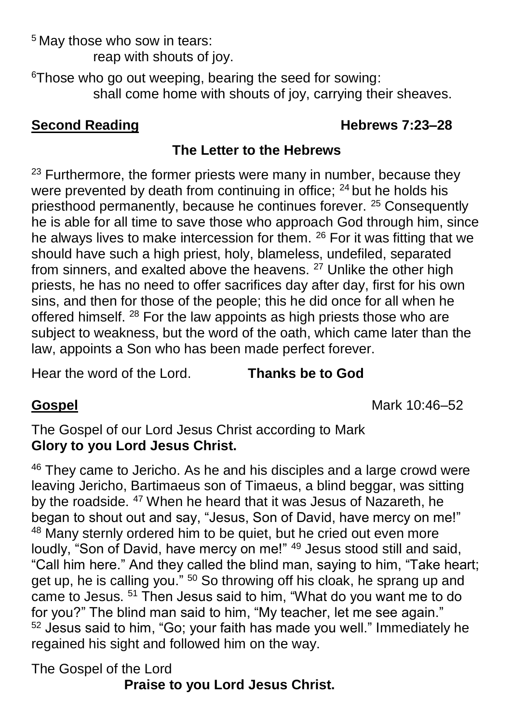<sup>5</sup> May those who sow in tears: reap with shouts of joy.

<sup>6</sup>Those who go out weeping, bearing the seed for sowing: shall come home with shouts of joy, carrying their sheaves.

# **Second Reading Second Reading 1978**

# **The Letter to the Hebrews**

 $23$  Furthermore, the former priests were many in number, because they were prevented by death from continuing in office; <sup>24</sup> but he holds his priesthood permanently, because he continues forever. <sup>25</sup> Consequently he is able for all time to save those who approach God through him, since he always lives to make intercession for them. <sup>26</sup> For it was fitting that we should have such a high priest, holy, blameless, undefiled, separated from sinners, and exalted above the heavens.<sup>27</sup> Unlike the other high priests, he has no need to offer sacrifices day after day, first for his own sins, and then for those of the people; this he did once for all when he offered himself. <sup>28</sup> For the law appoints as high priests those who are subject to weakness, but the word of the oath, which came later than the law, appoints a Son who has been made perfect forever.

Hear the word of the Lord. **Thanks be to God**

**Gospel** Mark 10:46–52

The Gospel of our Lord Jesus Christ according to Mark **Glory to you Lord Jesus Christ.**

<sup>46</sup> They came to Jericho. As he and his disciples and a large crowd were leaving Jericho, Bartimaeus son of Timaeus, a blind beggar, was sitting by the roadside. <sup>47</sup> When he heard that it was Jesus of Nazareth, he began to shout out and say, "Jesus, Son of David, have mercy on me!" <sup>48</sup> Many sternly ordered him to be quiet, but he cried out even more loudly, "Son of David, have mercy on me!" <sup>49</sup> Jesus stood still and said, "Call him here." And they called the blind man, saying to him, "Take heart; get up, he is calling you." <sup>50</sup> So throwing off his cloak, he sprang up and came to Jesus. <sup>51</sup> Then Jesus said to him, "What do you want me to do for you?" The blind man said to him, "My teacher, let me see again." <sup>52</sup> Jesus said to him, "Go; your faith has made you well." Immediately he regained his sight and followed him on the way.

The Gospel of the Lord

**Praise to you Lord Jesus Christ.**